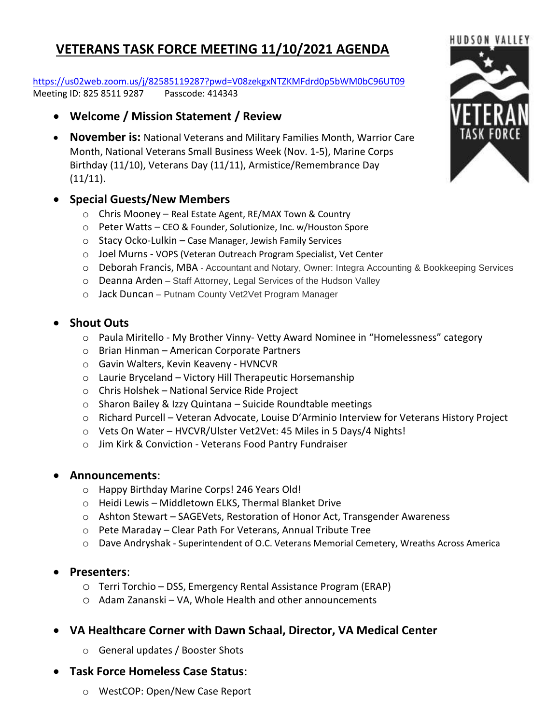# **VETERANS TASK FORCE MEETING 11/10/2021 AGENDA**

<https://us02web.zoom.us/j/82585119287?pwd=V08zekgxNTZKMFdrd0p5bWM0bC96UT09> Meeting ID: 825 8511 9287 Passcode: 414343

- **Welcome / Mission Statement / Review**
- **November is:** National Veterans and Military Families Month, Warrior Care Month, National Veterans Small Business Week (Nov. 1-5), Marine Corps Birthday (11/10), Veterans Day (11/11), Armistice/Remembrance Day  $(11/11).$

## • **Special Guests/New Members**

- o Chris Mooney Real Estate Agent, RE/MAX Town & Country
- o Peter Watts CEO & Founder, Solutionize, Inc. w/Houston Spore
- o Stacy Ocko-Lulkin Case Manager, Jewish Family Services
- o Joel Murns VOPS (Veteran Outreach Program Specialist, Vet Center
- o Deborah Francis, MBA Accountant and Notary, Owner: Integra Accounting & Bookkeeping Services
- o Deanna Arden Staff Attorney, Legal Services of the Hudson Valley
- o Jack Duncan Putnam County Vet2Vet Program Manager

# • **Shout Outs**

- o Paula Miritello My Brother Vinny- Vetty Award Nominee in "Homelessness" category
- o Brian Hinman American Corporate Partners
- o Gavin Walters, Kevin Keaveny HVNCVR
- o Laurie Bryceland Victory Hill Therapeutic Horsemanship
- o Chris Holshek National Service Ride Project
- o Sharon Bailey & Izzy Quintana Suicide Roundtable meetings
- o Richard Purcell Veteran Advocate, Louise D'Arminio Interview for Veterans History Project
- o Vets On Water HVCVR/Ulster Vet2Vet: 45 Miles in 5 Days/4 Nights!
- o Jim Kirk & Conviction Veterans Food Pantry Fundraiser

#### • **Announcements**:

- o Happy Birthday Marine Corps! 246 Years Old!
- o Heidi Lewis Middletown ELKS, Thermal Blanket Drive
- o Ashton Stewart SAGEVets, Restoration of Honor Act, Transgender Awareness
- o Pete Maraday Clear Path For Veterans, Annual Tribute Tree
- o Dave Andryshak Superintendent of O.C. Veterans Memorial Cemetery, Wreaths Across America

#### • **Presenters**:

- o Terri Torchio DSS, Emergency Rental Assistance Program (ERAP)
- o Adam Zananski VA, Whole Health and other announcements
- **VA Healthcare Corner with Dawn Schaal, Director, VA Medical Center**
	- o General updates / Booster Shots
- **Task Force Homeless Case Status**:
	- o WestCOP: Open/New Case Report

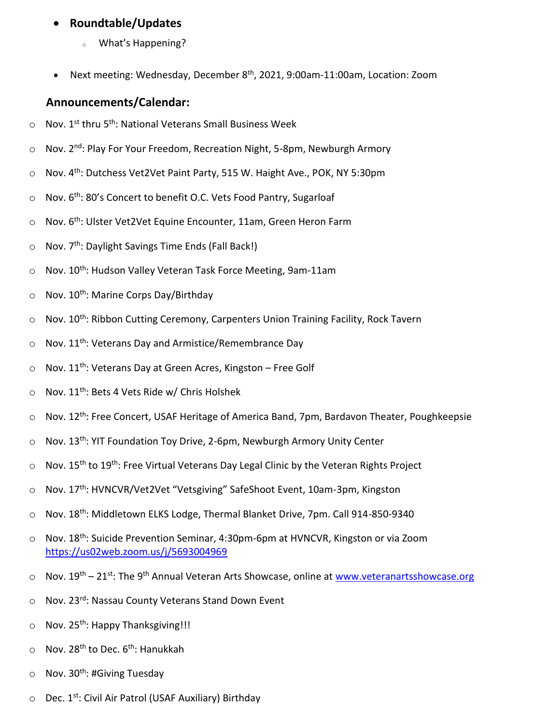# • **Roundtable/Updates**

- <sup>o</sup> What's Happening?
- Next meeting: Wednesday, December 8<sup>th</sup>, 2021, 9:00am-11:00am, Location: Zoom

## **Announcements/Calendar:**

- $\circ$  Nov. 1<sup>st</sup> thru 5<sup>th</sup>: National Veterans Small Business Week
- Nov. 2<sup>nd</sup>: Play For Your Freedom, Recreation Night, 5-8pm, Newburgh Armory
- Nov. 4<sup>th</sup>: Dutchess Vet2Vet Paint Party, 515 W. Haight Ave., POK, NY 5:30pm
- $\circ$  Nov. 6<sup>th</sup>: 80's Concert to benefit O.C. Vets Food Pantry, Sugarloaf
- o Nov. 6th: Ulster Vet2Vet Equine Encounter, 11am, Green Heron Farm
- o Nov. 7<sup>th</sup>: Daylight Savings Time Ends (Fall Back!)
- o Nov. 10<sup>th</sup>: Hudson Valley Veteran Task Force Meeting, 9am-11am
- $\circ$  Nov. 10<sup>th</sup>: Marine Corps Day/Birthday
- $\circ$  Nov. 10<sup>th</sup>: Ribbon Cutting Ceremony, Carpenters Union Training Facility, Rock Tavern
- $\circ$  Nov. 11<sup>th</sup>: Veterans Day and Armistice/Remembrance Day
- $\circ$  Nov. 11<sup>th</sup>: Veterans Day at Green Acres, Kingston Free Golf
- $\circ$  Nov. 11<sup>th</sup>: Bets 4 Vets Ride w/ Chris Holshek
- o Nov. 12<sup>th</sup>: Free Concert, USAF Heritage of America Band, 7pm, Bardavon Theater, Poughkeepsie
- o Nov. 13<sup>th</sup>: YIT Foundation Toy Drive, 2-6pm, Newburgh Armory Unity Center
- $\circ$  Nov. 15<sup>th</sup> to 19<sup>th</sup>: Free Virtual Veterans Day Legal Clinic by the Veteran Rights Project
- $\circ$  Nov. 17<sup>th</sup>: HVNCVR/Vet2Vet "Vetsgiving" SafeShoot Event, 10am-3pm, Kingston
- $\circ$  Nov. 18<sup>th</sup>: Middletown ELKS Lodge, Thermal Blanket Drive, 7pm. Call 914-850-9340
- o Nov. 18th: Suicide Prevention Seminar, 4:30pm-6pm at HVNCVR, Kingston or via Zoom <https://us02web.zoom.us/j/5693004969>
- o Nov. 19<sup>th</sup> 21<sup>st</sup>: The 9<sup>th</sup> Annual Veteran Arts Showcase, online at [www.veteranartsshowcase.org](http://www.veteranartsshowcase.org/)
- o Nov. 23rd: Nassau County Veterans Stand Down Event
- $\circ$  Nov. 25<sup>th</sup>: Happy Thanksgiving!!!
- $\circ$  Nov. 28<sup>th</sup> to Dec. 6<sup>th</sup>: Hanukkah
- $\circ$  Nov. 30<sup>th</sup>: #Giving Tuesday
- $\circ$  Dec. 1<sup>st</sup>: Civil Air Patrol (USAF Auxiliary) Birthday